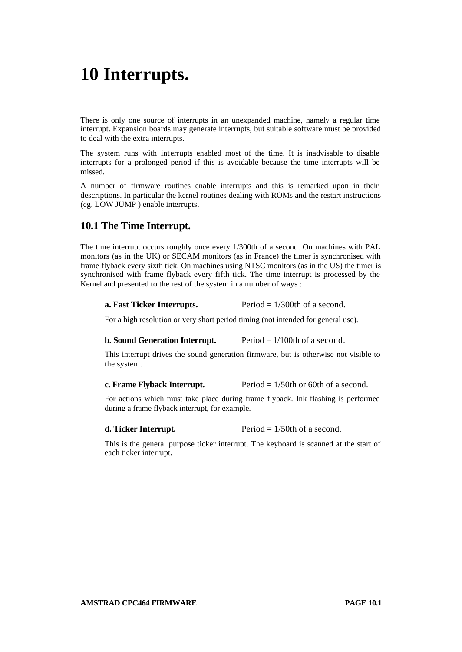# **10 Interrupts.**

There is only one source of interrupts in an unexpanded machine, namely a regular time interrupt. Expansion boards may generate interrupts, but suitable software must be provided to deal with the extra interrupts.

The system runs with interrupts enabled most of the time. It is inadvisable to disable interrupts for a prolonged period if this is avoidable because the time interrupts will be missed.

A number of firmware routines enable interrupts and this is remarked upon in their descriptions. In particular the kernel routines dealing with ROMs and the restart instructions (eg. LOW JUMP ) enable interrupts.

# **10.1 The Time Interrupt.**

The time interrupt occurs roughly once every 1/300th of a second. On machines with PAL monitors (as in the UK) or SECAM monitors (as in France) the timer is synchronised with frame flyback every sixth tick. On machines using NTSC monitors (as in the US) the timer is synchronised with frame flyback every fifth tick. The time interrupt is processed by the Kernel and presented to the rest of the system in a number of ways :

# **a. Fast Ticker Interrupts.** Period = 1/300th of a second.

For a high resolution or very short period timing (not intended for general use).

#### **b. Sound Generation Interrupt.** Period = 1/100th of a second.

This interrupt drives the sound generation firmware, but is otherwise not visible to the system.

**c. Frame Flyback Interrupt.** Period  $= 1/50$ th or 60th of a second.

For actions which must take place during frame flyback. Ink flashing is performed during a frame flyback interrupt, for example.

**d. Ticker Interrupt.** Period =  $1/50$ th of a second.

This is the general purpose ticker interrupt. The keyboard is scanned at the start of each ticker interrupt.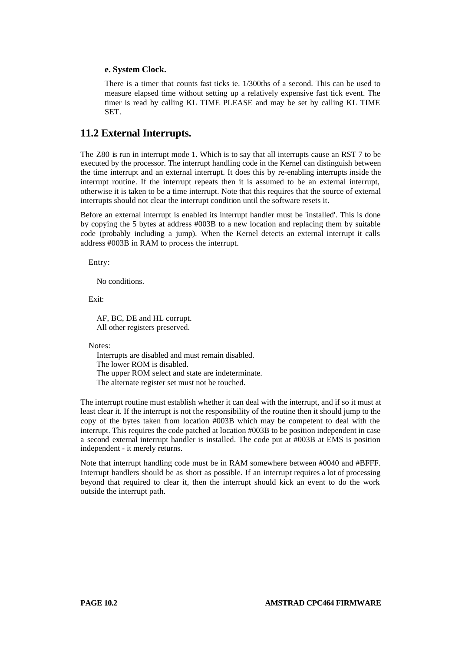# **e. System Clock.**

There is a timer that counts fast ticks ie. 1/300ths of a second. This can be used to measure elapsed time without setting up a relatively expensive fast tick event. The timer is read by calling KL TIME PLEASE and may be set by calling KL TIME SET.

# **11.2 External Interrupts.**

The Z80 is run in interrupt mode 1. Which is to say that all interrupts cause an RST 7 to be executed by the processor. The interrupt handling code in the Kernel can distinguish between the time interrupt and an external interrupt. It does this by re-enabling interrupts inside the interrupt routine. If the interrupt repeats then it is assumed to be an external interrupt, otherwise it is taken to be a time interrupt. Note that this requires that the source of external interrupts should not clear the interrupt condition until the software resets it.

Before an external interrupt is enabled its interrupt handler must be 'installed'. This is done by copying the 5 bytes at address #003B to a new location and replacing them by suitable code (probably including a jump). When the Kernel detects an external interrupt it calls address #003B in RAM to process the interrupt.

Entry:

No conditions.

Exit:

AF, BC, DE and HL corrupt. All other registers preserved.

Notes:

Interrupts are disabled and must remain disabled. The lower ROM is disabled. The upper ROM select and state are indeterminate. The alternate register set must not be touched.

The interrupt routine must establish whether it can deal with the interrupt, and if so it must at least clear it. If the interrupt is not the responsibility of the routine then it should jump to the copy of the bytes taken from location #003B which may be competent to deal with the interrupt. This requires the code patched at location #003B to be position independent in case a second external interrupt handler is installed. The code put at #003B at EMS is position independent - it merely returns.

Note that interrupt handling code must be in RAM somewhere between #0040 and #BFFF. Interrupt handlers should be as short as possible. If an interrupt requires a lot of processing beyond that required to clear it, then the interrupt should kick an event to do the work outside the interrupt path.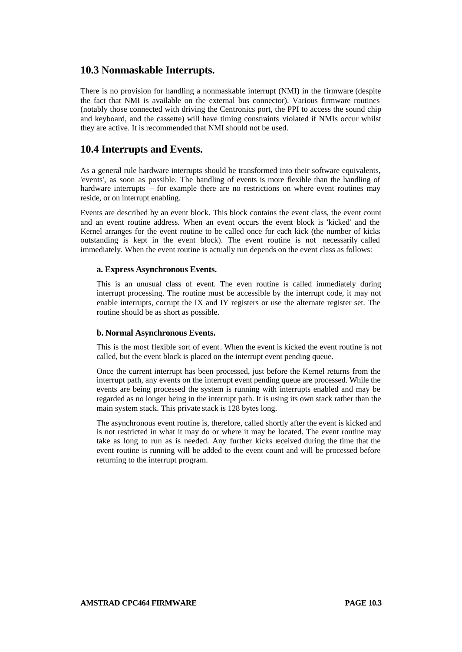# **10.3 Nonmaskable Interrupts.**

There is no provision for handling a nonmaskable interrupt (NMI) in the firmware (despite the fact that NMI is available on the external bus connector). Various firmware routines (notably those connected with driving the Centronics port, the PPI to access the sound chip and keyboard, and the cassette) will have timing constraints violated if NMIs occur whilst they are active. It is recommended that NMI should not be used.

# **10.4 Interrupts and Events.**

As a general rule hardware interrupts should be transformed into their software equivalents, 'events', as soon as possible. The handling of events is more flexible than the handling of hardware interrupts – for example there are no restrictions on where event routines may reside, or on interrupt enabling.

Events are described by an event block. This block contains the event class, the event count and an event routine address. When an event occurs the event block is 'kicked' and the Kernel arranges for the event routine to be called once for each kick (the number of kicks outstanding is kept in the event block). The event routine is not necessarily called immediately. When the event routine is actually run depends on the event class as follows:

# **a. Express Asynchronous Events.**

This is an unusual class of event. The even routine is called immediately during interrupt processing. The routine must be accessible by the interrupt code, it may not enable interrupts, corrupt the IX and IY registers or use the alternate register set. The routine should be as short as possible.

# **b. Normal Asynchronous Events.**

This is the most flexible sort of event. When the event is kicked the event routine is not called, but the event block is placed on the interrupt event pending queue.

Once the current interrupt has been processed, just before the Kernel returns from the interrupt path, any events on the interrupt event pending queue are processed. While the events are being processed the system is running with interrupts enabled and may be regarded as no longer being in the interrupt path. It is using its own stack rather than the main system stack. This private stack is 128 bytes long.

The asynchronous event routine is, therefore, called shortly after the event is kicked and is not restricted in what it may do or where it may be located. The event routine may take as long to run as is needed. Any further kicks received during the time that the event routine is running will be added to the event count and will be processed before returning to the interrupt program.